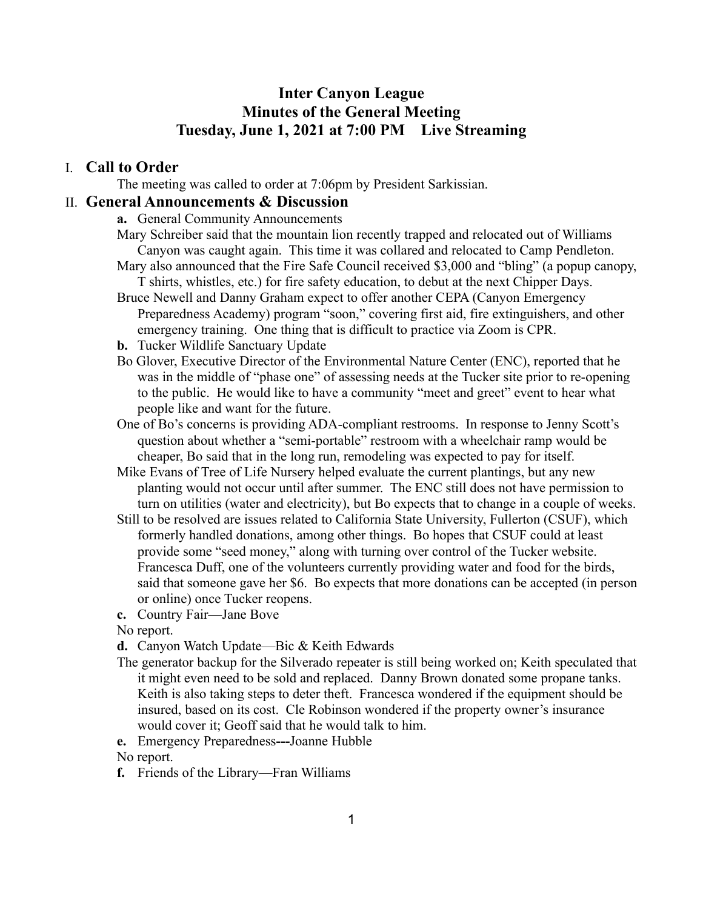# **Inter Canyon League Minutes of the General Meeting Tuesday, June 1, 2021 at 7:00 PM Live Streaming**

#### I. **Call to Order**

The meeting was called to order at 7:06pm by President Sarkissian.

#### II. **General Announcements & Discussion**

**a.** General Community Announcements

- Mary Schreiber said that the mountain lion recently trapped and relocated out of Williams Canyon was caught again. This time it was collared and relocated to Camp Pendleton.
- Mary also announced that the Fire Safe Council received \$3,000 and "bling" (a popup canopy, T shirts, whistles, etc.) for fire safety education, to debut at the next Chipper Days.
- Bruce Newell and Danny Graham expect to offer another CEPA (Canyon Emergency Preparedness Academy) program "soon," covering first aid, fire extinguishers, and other emergency training. One thing that is difficult to practice via Zoom is CPR.
- **b.** Tucker Wildlife Sanctuary Update
- Bo Glover, Executive Director of the Environmental Nature Center (ENC), reported that he was in the middle of "phase one" of assessing needs at the Tucker site prior to re-opening to the public. He would like to have a community "meet and greet" event to hear what people like and want for the future.
- One of Bo's concerns is providing ADA-compliant restrooms. In response to Jenny Scott's question about whether a "semi-portable" restroom with a wheelchair ramp would be cheaper, Bo said that in the long run, remodeling was expected to pay for itself.
- Mike Evans of Tree of Life Nursery helped evaluate the current plantings, but any new planting would not occur until after summer. The ENC still does not have permission to turn on utilities (water and electricity), but Bo expects that to change in a couple of weeks.
- Still to be resolved are issues related to California State University, Fullerton (CSUF), which formerly handled donations, among other things. Bo hopes that CSUF could at least provide some "seed money," along with turning over control of the Tucker website. Francesca Duff, one of the volunteers currently providing water and food for the birds, said that someone gave her \$6. Bo expects that more donations can be accepted (in person or online) once Tucker reopens.
- **c.** Country Fair—Jane Bove

No report.

**d.** Canyon Watch Update—Bic & Keith Edwards

- The generator backup for the Silverado repeater is still being worked on; Keith speculated that it might even need to be sold and replaced. Danny Brown donated some propane tanks. Keith is also taking steps to deter theft. Francesca wondered if the equipment should be insured, based on its cost. Cle Robinson wondered if the property owner's insurance would cover it; Geoff said that he would talk to him.
- **e.** Emergency Preparedness**---**Joanne Hubble

No report.

**f.** Friends of the Library—Fran Williams